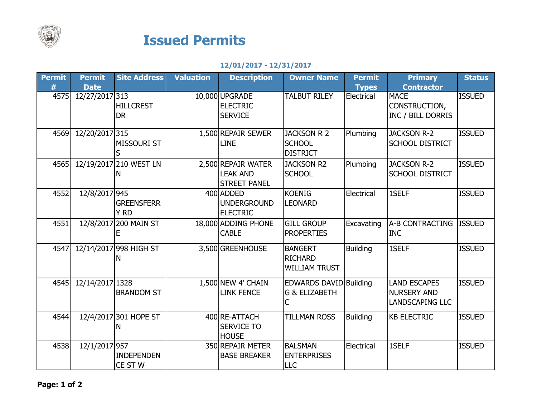

## Issued Permits

## 12/01/2017 - 12/31/2017

| <b>Permit</b> | <b>Permit</b>   | <b>Site Address</b>           | <b>Valuation</b> | <b>Description</b>                                           | <b>Owner Name</b>                                        | <b>Permit</b>   | <b>Primary</b>                                                      | <b>Status</b> |
|---------------|-----------------|-------------------------------|------------------|--------------------------------------------------------------|----------------------------------------------------------|-----------------|---------------------------------------------------------------------|---------------|
| #             | <b>Date</b>     |                               |                  |                                                              |                                                          | <b>Types</b>    | <b>Contractor</b>                                                   |               |
| 4575          | 12/27/2017 313  | <b>HILLCREST</b><br><b>DR</b> |                  | 10,000 UPGRADE<br><b>ELECTRIC</b><br><b>SERVICE</b>          | <b>TALBUT RILEY</b>                                      | Electrical      | <b>MACE</b><br>CONSTRUCTION,<br>INC / BILL DORRIS                   | <b>ISSUED</b> |
| 4569          | 12/20/2017 315  | MISSOURI ST                   |                  | 1,500 REPAIR SEWER<br><b>LINE</b>                            | <b>JACKSON R 2</b><br><b>SCHOOL</b><br><b>DISTRICT</b>   | Plumbing        | <b>JACKSON R-2</b><br><b>SCHOOL DISTRICT</b>                        | <b>ISSUED</b> |
| 4565          |                 | 12/19/2017 210 WEST LN<br>N   |                  | 2,500 REPAIR WATER<br><b>LEAK AND</b><br><b>STREET PANEL</b> | <b>JACKSON R2</b><br><b>SCHOOL</b>                       | Plumbing        | <b>JACKSON R-2</b><br><b>SCHOOL DISTRICT</b>                        | <b>ISSUED</b> |
| 4552          | 12/8/2017 945   | <b>GREENSFERR</b><br>Y RD     |                  | 400 ADDED<br><b>UNDERGROUND</b><br><b>ELECTRIC</b>           | <b>KOENIG</b><br><b>LEONARD</b>                          | Electrical      | 1SELF                                                               | <b>ISSUED</b> |
| 4551          |                 | 12/8/2017 200 MAIN ST<br>F    |                  | 18,000 ADDING PHONE<br><b>CABLE</b>                          | <b>GILL GROUP</b><br><b>PROPERTIES</b>                   | Excavating      | A-B CONTRACTING<br><b>INC</b>                                       | <b>ISSUED</b> |
| 4547          |                 | 12/14/2017 998 HIGH ST<br>N   |                  | 3,500 GREENHOUSE                                             | <b>BANGERT</b><br><b>RICHARD</b><br><b>WILLIAM TRUST</b> | <b>Building</b> | 1SELF                                                               | <b>ISSUED</b> |
| 4545          | 12/14/2017 1328 | <b>BRANDOM ST</b>             |                  | 1,500 NEW 4' CHAIN<br><b>LINK FENCE</b>                      | EDWARDS DAVID Building<br><b>G &amp; ELIZABETH</b><br>C  |                 | <b>LAND ESCAPES</b><br><b>NURSERY AND</b><br><b>LANDSCAPING LLC</b> | <b>ISSUED</b> |
| 4544          |                 | 12/4/2017 301 HOPE ST<br>N    |                  | 400 RE-ATTACH<br><b>SERVICE TO</b><br><b>HOUSE</b>           | <b>TILLMAN ROSS</b>                                      | <b>Building</b> | <b>KB ELECTRIC</b>                                                  | <b>ISSUED</b> |
| 4538          | 12/1/2017 957   | <b>INDEPENDEN</b><br>CE ST W  |                  | 350 REPAIR METER<br><b>BASE BREAKER</b>                      | <b>BALSMAN</b><br><b>ENTERPRISES</b><br>LLC              | Electrical      | 1SELF                                                               | <b>ISSUED</b> |